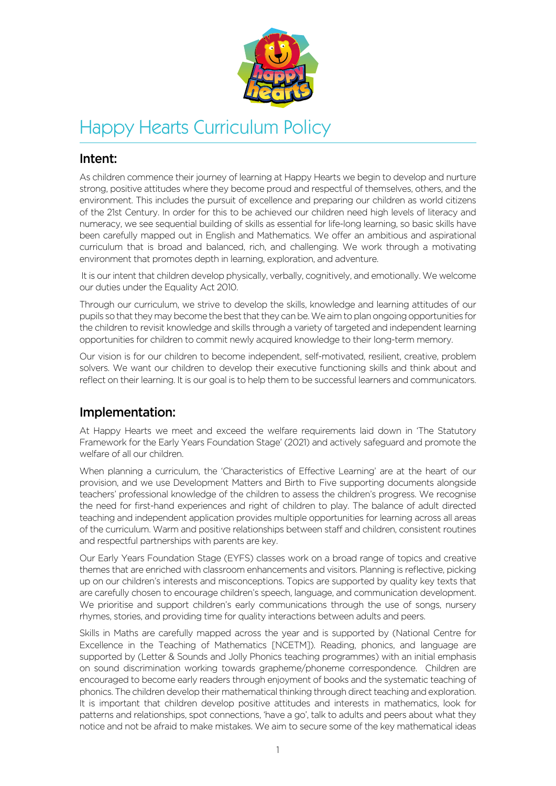

# Happy Hearts Curriculum Policy

# Intent:

As children commence their journey of learning at Happy Hearts we begin to develop and nurture strong, positive attitudes where they become proud and respectful of themselves, others, and the environment. This includes the pursuit of excellence and preparing our children as world citizens of the 21st Century. In order for this to be achieved our children need high levels of literacy and numeracy, we see sequential building of skills as essential for life-long learning, so basic skills have been carefully mapped out in English and Mathematics. We offer an ambitious and aspirational curriculum that is broad and balanced, rich, and challenging. We work through a motivating environment that promotes depth in learning, exploration, and adventure.

 It is our intent that children develop physically, verbally, cognitively, and emotionally. We welcome our duties under the Equality Act 2010.

Through our curriculum, we strive to develop the skills, knowledge and learning attitudes of our pupils so that they may become the best that they can be. We aim to plan ongoing opportunities for the children to revisit knowledge and skills through a variety of targeted and independent learning opportunities for children to commit newly acquired knowledge to their long-term memory.

Our vision is for our children to become independent, self-motivated, resilient, creative, problem solvers. We want our children to develop their executive functioning skills and think about and reflect on their learning. It is our goal is to help them to be successful learners and communicators.

# Implementation:

At Happy Hearts we meet and exceed the welfare requirements laid down in 'The Statutory Framework for the Early Years Foundation Stage' (2021) and actively safeguard and promote the welfare of all our children.

When planning a curriculum, the 'Characteristics of Effective Learning' are at the heart of our provision, and we use Development Matters and Birth to Five supporting documents alongside teachers' professional knowledge of the children to assess the children's progress. We recognise the need for first-hand experiences and right of children to play. The balance of adult directed teaching and independent application provides multiple opportunities for learning across all areas of the curriculum. Warm and positive relationships between staff and children, consistent routines and respectful partnerships with parents are key.

Our Early Years Foundation Stage (EYFS) classes work on a broad range of topics and creative themes that are enriched with classroom enhancements and visitors. Planning is reflective, picking up on our children's interests and misconceptions. Topics are supported by quality key texts that are carefully chosen to encourage children's speech, language, and communication development. We prioritise and support children's early communications through the use of songs, nursery rhymes, stories, and providing time for quality interactions between adults and peers.

Skills in Maths are carefully mapped across the year and is supported by (National Centre for Excellence in the Teaching of Mathematics [NCETM]). Reading, phonics, and language are supported by (Letter & Sounds and Jolly Phonics teaching programmes) with an initial emphasis on sound discrimination working towards grapheme/phoneme correspondence. Children are encouraged to become early readers through enjoyment of books and the systematic teaching of phonics. The children develop their mathematical thinking through direct teaching and exploration. It is important that children develop positive attitudes and interests in mathematics, look for patterns and relationships, spot connections, 'have a go', talk to adults and peers about what they notice and not be afraid to make mistakes. We aim to secure some of the key mathematical ideas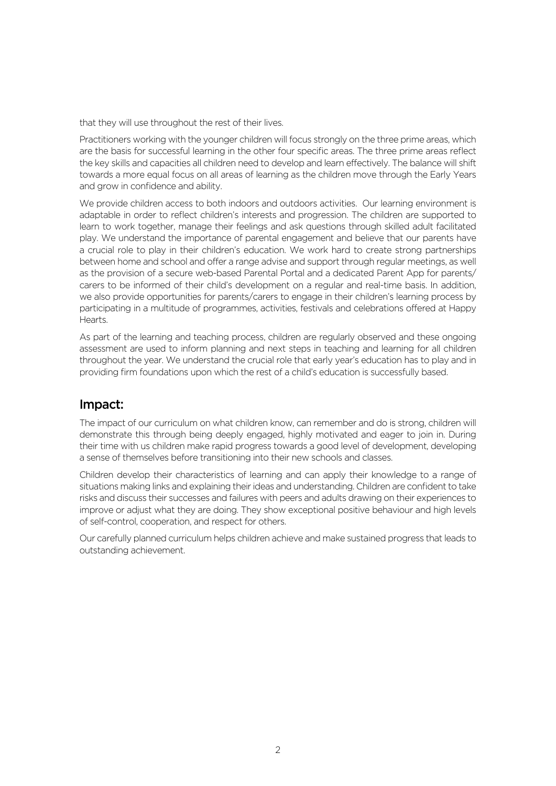that they will use throughout the rest of their lives.

Practitioners working with the younger children will focus strongly on the three prime areas, which are the basis for successful learning in the other four specific areas. The three prime areas reflect the key skills and capacities all children need to develop and learn effectively. The balance will shift towards a more equal focus on all areas of learning as the children move through the Early Years and grow in confidence and ability.

We provide children access to both indoors and outdoors activities. Our learning environment is adaptable in order to reflect children's interests and progression. The children are supported to learn to work together, manage their feelings and ask questions through skilled adult facilitated play. We understand the importance of parental engagement and believe that our parents have a crucial role to play in their children's education. We work hard to create strong partnerships between home and school and offer a range advise and support through regular meetings, as well as the provision of a secure web-based Parental Portal and a dedicated Parent App for parents/ carers to be informed of their child's development on a regular and real-time basis. In addition, we also provide opportunities for parents/carers to engage in their children's learning process by participating in a multitude of programmes, activities, festivals and celebrations offered at Happy Hearts.

As part of the learning and teaching process, children are regularly observed and these ongoing assessment are used to inform planning and next steps in teaching and learning for all children throughout the year. We understand the crucial role that early year's education has to play and in providing firm foundations upon which the rest of a child's education is successfully based.

# Impact:

The impact of our curriculum on what children know, can remember and do is strong, children will demonstrate this through being deeply engaged, highly motivated and eager to join in. During their time with us children make rapid progress towards a good level of development, developing a sense of themselves before transitioning into their new schools and classes.

Children develop their characteristics of learning and can apply their knowledge to a range of situations making links and explaining their ideas and understanding. Children are confident to take risks and discuss their successes and failures with peers and adults drawing on their experiences to improve or adjust what they are doing. They show exceptional positive behaviour and high levels of self-control, cooperation, and respect for others.

Our carefully planned curriculum helps children achieve and make sustained progress that leads to outstanding achievement.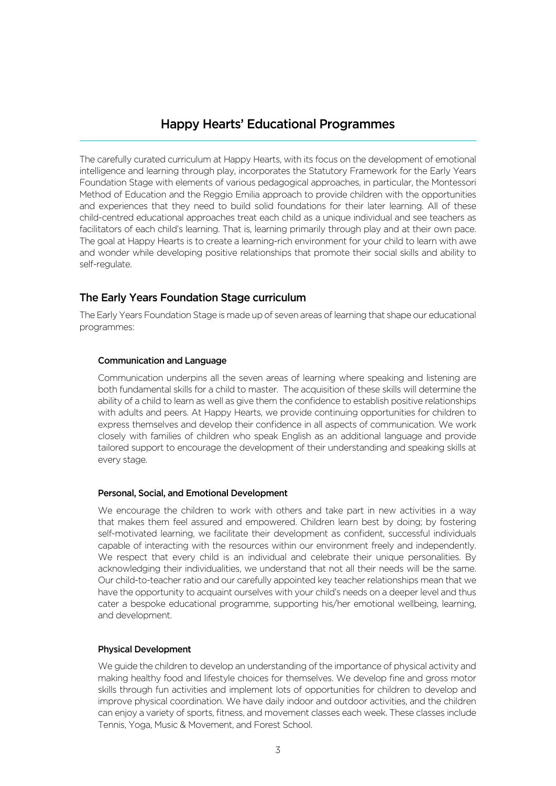## Happy Hearts' Educational Programmes

The carefully curated curriculum at Happy Hearts, with its focus on the development of emotional intelligence and learning through play, incorporates the Statutory Framework for the Early Years Foundation Stage with elements of various pedagogical approaches, in particular, the Montessori Method of Education and the Reggio Emilia approach to provide children with the opportunities and experiences that they need to build solid foundations for their later learning. All of these child-centred educational approaches treat each child as a unique individual and see teachers as facilitators of each child's learning. That is, learning primarily through play and at their own pace. The goal at Happy Hearts is to create a learning-rich environment for your child to learn with awe and wonder while developing positive relationships that promote their social skills and ability to self-regulate.

## The Early Years Foundation Stage curriculum

The Early Years Foundation Stage is made up of seven areas of learning that shape our educational programmes:

#### Communication and Language

Communication underpins all the seven areas of learning where speaking and listening are both fundamental skills for a child to master. The acquisition of these skills will determine the ability of a child to learn as well as give them the confidence to establish positive relationships with adults and peers. At Happy Hearts, we provide continuing opportunities for children to express themselves and develop their confidence in all aspects of communication. We work closely with families of children who speak English as an additional language and provide tailored support to encourage the development of their understanding and speaking skills at every stage.

#### Personal, Social, and Emotional Development

We encourage the children to work with others and take part in new activities in a way that makes them feel assured and empowered. Children learn best by doing; by fostering self-motivated learning, we facilitate their development as confident, successful individuals capable of interacting with the resources within our environment freely and independently. We respect that every child is an individual and celebrate their unique personalities. By acknowledging their individualities, we understand that not all their needs will be the same. Our child-to-teacher ratio and our carefully appointed key teacher relationships mean that we have the opportunity to acquaint ourselves with your child's needs on a deeper level and thus cater a bespoke educational programme, supporting his/her emotional wellbeing, learning, and development.

#### Physical Development

We guide the children to develop an understanding of the importance of physical activity and making healthy food and lifestyle choices for themselves. We develop fine and gross motor skills through fun activities and implement lots of opportunities for children to develop and improve physical coordination. We have daily indoor and outdoor activities, and the children can enjoy a variety of sports, fitness, and movement classes each week. These classes include Tennis, Yoga, Music & Movement, and Forest School.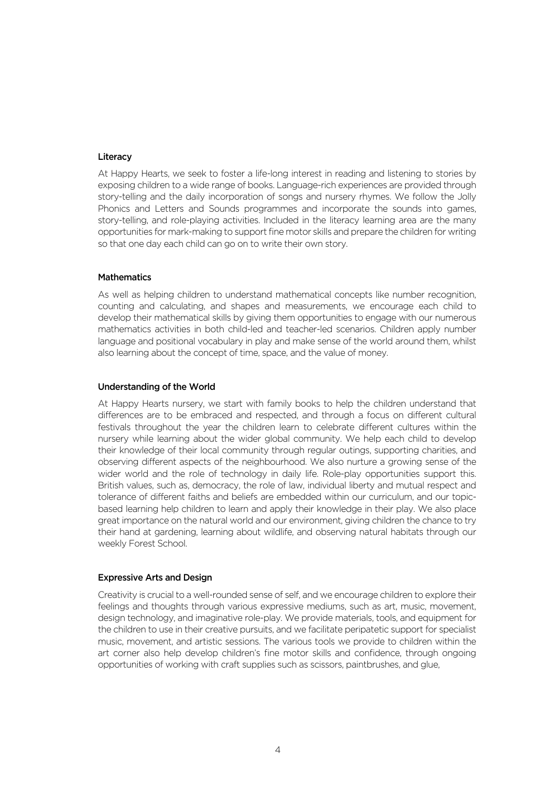#### **Literacy**

At Happy Hearts, we seek to foster a life-long interest in reading and listening to stories by exposing children to a wide range of books. Language-rich experiences are provided through story-telling and the daily incorporation of songs and nursery rhymes. We follow the Jolly Phonics and Letters and Sounds programmes and incorporate the sounds into games, story-telling, and role-playing activities. Included in the literacy learning area are the many opportunities for mark-making to support fine motor skills and prepare the children for writing so that one day each child can go on to write their own story.

#### **Mathematics**

As well as helping children to understand mathematical concepts like number recognition, counting and calculating, and shapes and measurements, we encourage each child to develop their mathematical skills by giving them opportunities to engage with our numerous mathematics activities in both child-led and teacher-led scenarios. Children apply number language and positional vocabulary in play and make sense of the world around them, whilst also learning about the concept of time, space, and the value of money.

#### Understanding of the World

At Happy Hearts nursery, we start with family books to help the children understand that differences are to be embraced and respected, and through a focus on different cultural festivals throughout the year the children learn to celebrate different cultures within the nursery while learning about the wider global community. We help each child to develop their knowledge of their local community through regular outings, supporting charities, and observing different aspects of the neighbourhood. We also nurture a growing sense of the wider world and the role of technology in daily life. Role-play opportunities support this. British values, such as, democracy, the role of law, individual liberty and mutual respect and tolerance of different faiths and beliefs are embedded within our curriculum, and our topicbased learning help children to learn and apply their knowledge in their play. We also place great importance on the natural world and our environment, giving children the chance to try their hand at gardening, learning about wildlife, and observing natural habitats through our weekly Forest School.

#### Expressive Arts and Design

Creativity is crucial to a well-rounded sense of self, and we encourage children to explore their feelings and thoughts through various expressive mediums, such as art, music, movement, design technology, and imaginative role-play. We provide materials, tools, and equipment for the children to use in their creative pursuits, and we facilitate peripatetic support for specialist music, movement, and artistic sessions. The various tools we provide to children within the art corner also help develop children's fine motor skills and confidence, through ongoing opportunities of working with craft supplies such as scissors, paintbrushes, and glue,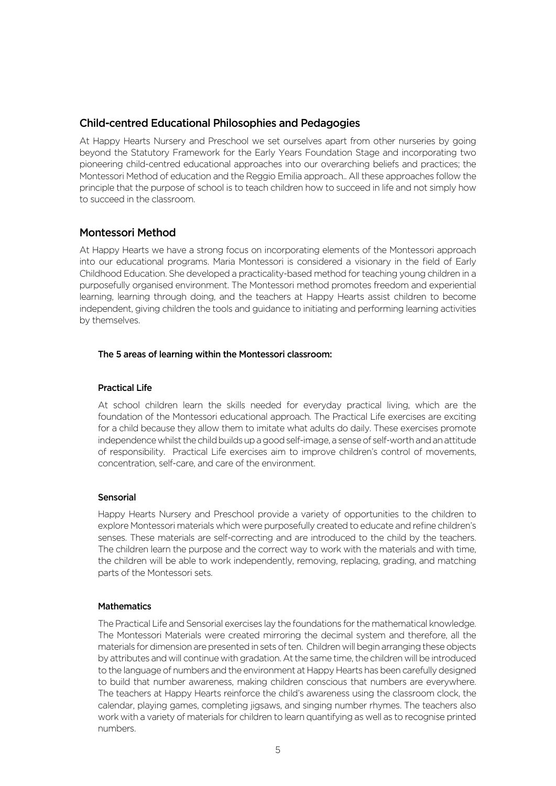## Child-centred Educational Philosophies and Pedagogies

At Happy Hearts Nursery and Preschool we set ourselves apart from other nurseries by going beyond the Statutory Framework for the Early Years Foundation Stage and incorporating two pioneering child-centred educational approaches into our overarching beliefs and practices; the Montessori Method of education and the Reggio Emilia approach.. All these approaches follow the principle that the purpose of school is to teach children how to succeed in life and not simply how to succeed in the classroom.

### Montessori Method

At Happy Hearts we have a strong focus on incorporating elements of the Montessori approach into our educational programs. Maria Montessori is considered a visionary in the field of Early Childhood Education. She developed a practicality-based method for teaching young children in a purposefully organised environment. The Montessori method promotes freedom and experiential learning, learning through doing, and the teachers at Happy Hearts assist children to become independent, giving children the tools and guidance to initiating and performing learning activities by themselves.

#### The 5 areas of learning within the Montessori classroom:

#### Practical Life

At school children learn the skills needed for everyday practical living, which are the foundation of the Montessori educational approach. The Practical Life exercises are exciting for a child because they allow them to imitate what adults do daily. These exercises promote independence whilst the child builds up a good self-image, a sense of self-worth and an attitude of responsibility. Practical Life exercises aim to improve children's control of movements, concentration, self-care, and care of the environment.

#### Sensorial

Happy Hearts Nursery and Preschool provide a variety of opportunities to the children to explore Montessori materials which were purposefully created to educate and refine children's senses. These materials are self-correcting and are introduced to the child by the teachers. The children learn the purpose and the correct way to work with the materials and with time, the children will be able to work independently, removing, replacing, grading, and matching parts of the Montessori sets.

#### **Mathematics**

The Practical Life and Sensorial exercises lay the foundations for the mathematical knowledge. The Montessori Materials were created mirroring the decimal system and therefore, all the materials for dimension are presented in sets of ten. Children will begin arranging these objects by attributes and will continue with gradation. At the same time, the children will be introduced to the language of numbers and the environment at Happy Hearts has been carefully designed to build that number awareness, making children conscious that numbers are everywhere. The teachers at Happy Hearts reinforce the child's awareness using the classroom clock, the calendar, playing games, completing jigsaws, and singing number rhymes. The teachers also work with a variety of materials for children to learn quantifying as well as to recognise printed numbers.